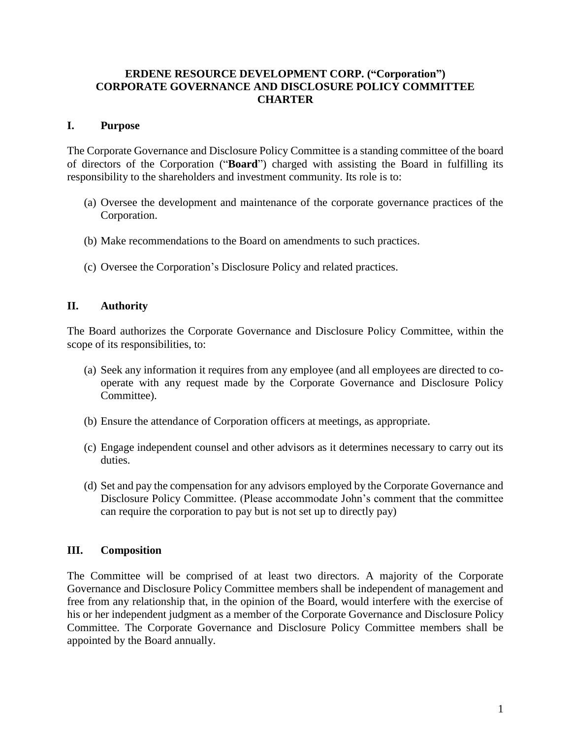## **ERDENE RESOURCE DEVELOPMENT CORP. ("Corporation") CORPORATE GOVERNANCE AND DISCLOSURE POLICY COMMITTEE CHARTER**

## **I. Purpose**

The Corporate Governance and Disclosure Policy Committee is a standing committee of the board of directors of the Corporation ("**Board**") charged with assisting the Board in fulfilling its responsibility to the shareholders and investment community. Its role is to:

- (a) Oversee the development and maintenance of the corporate governance practices of the Corporation.
- (b) Make recommendations to the Board on amendments to such practices.
- (c) Oversee the Corporation's Disclosure Policy and related practices.

### **II. Authority**

The Board authorizes the Corporate Governance and Disclosure Policy Committee, within the scope of its responsibilities, to:

- (a) Seek any information it requires from any employee (and all employees are directed to cooperate with any request made by the Corporate Governance and Disclosure Policy Committee).
- (b) Ensure the attendance of Corporation officers at meetings, as appropriate.
- (c) Engage independent counsel and other advisors as it determines necessary to carry out its duties.
- (d) Set and pay the compensation for any advisors employed by the Corporate Governance and Disclosure Policy Committee. (Please accommodate John's comment that the committee can require the corporation to pay but is not set up to directly pay)

#### **III. Composition**

The Committee will be comprised of at least two directors. A majority of the Corporate Governance and Disclosure Policy Committee members shall be independent of management and free from any relationship that, in the opinion of the Board, would interfere with the exercise of his or her independent judgment as a member of the Corporate Governance and Disclosure Policy Committee. The Corporate Governance and Disclosure Policy Committee members shall be appointed by the Board annually.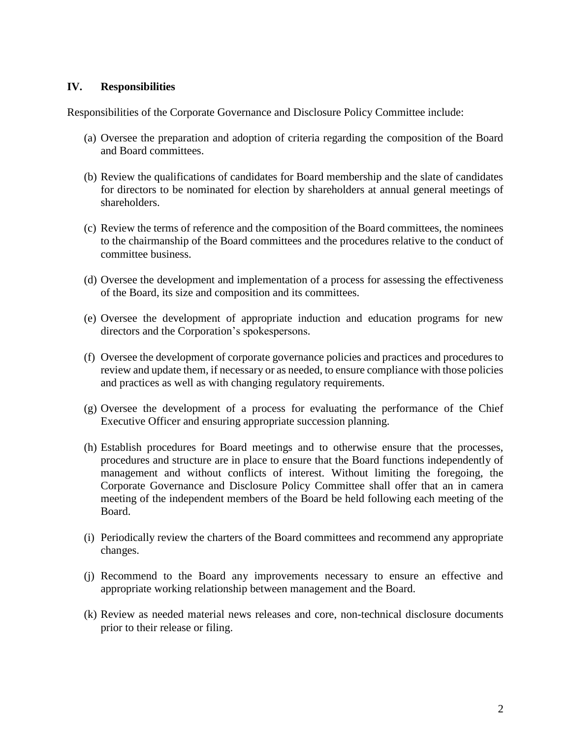#### **IV. Responsibilities**

Responsibilities of the Corporate Governance and Disclosure Policy Committee include:

- (a) Oversee the preparation and adoption of criteria regarding the composition of the Board and Board committees.
- (b) Review the qualifications of candidates for Board membership and the slate of candidates for directors to be nominated for election by shareholders at annual general meetings of shareholders.
- (c) Review the terms of reference and the composition of the Board committees, the nominees to the chairmanship of the Board committees and the procedures relative to the conduct of committee business.
- (d) Oversee the development and implementation of a process for assessing the effectiveness of the Board, its size and composition and its committees.
- (e) Oversee the development of appropriate induction and education programs for new directors and the Corporation's spokespersons.
- (f) Oversee the development of corporate governance policies and practices and procedures to review and update them, if necessary or as needed, to ensure compliance with those policies and practices as well as with changing regulatory requirements.
- (g) Oversee the development of a process for evaluating the performance of the Chief Executive Officer and ensuring appropriate succession planning.
- (h) Establish procedures for Board meetings and to otherwise ensure that the processes, procedures and structure are in place to ensure that the Board functions independently of management and without conflicts of interest. Without limiting the foregoing, the Corporate Governance and Disclosure Policy Committee shall offer that an in camera meeting of the independent members of the Board be held following each meeting of the Board.
- (i) Periodically review the charters of the Board committees and recommend any appropriate changes.
- (j) Recommend to the Board any improvements necessary to ensure an effective and appropriate working relationship between management and the Board.
- (k) Review as needed material news releases and core, non-technical disclosure documents prior to their release or filing.